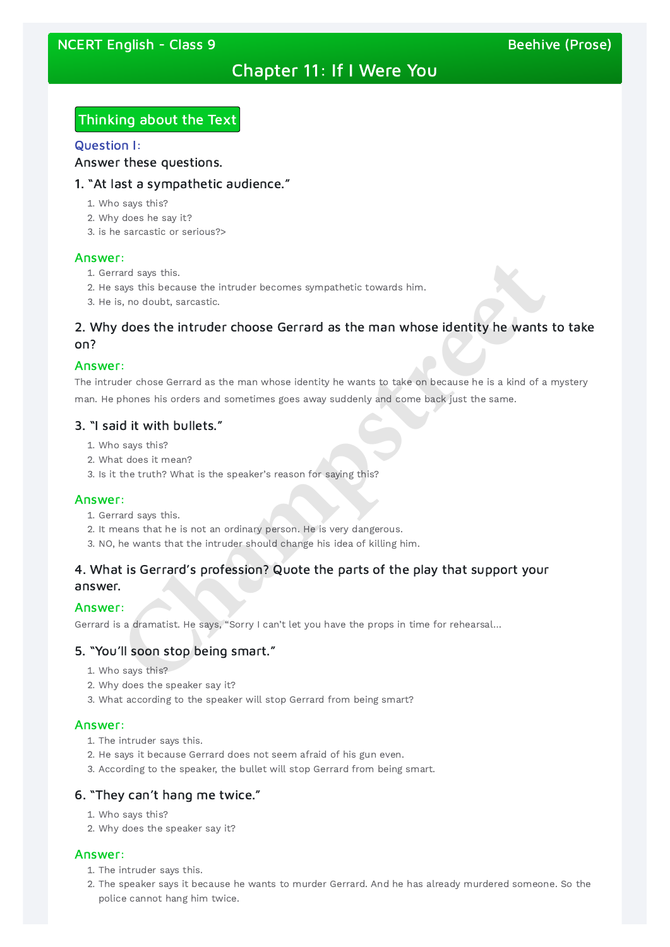# NCERT English - Class 9 Beehive (Prose)

# Chapter 11: If I Were You

# Thinking about the Text

### Question I:

### Answer these questions.

### 1. "At last a sympathetic audience."

# 2. Why does the intruder choose Gerrard as the man whose identity he wants to take on? **Compare to the seal of the search of the search of the search of the search of the search of the search of the search of the search of the search of the search of the search of the search of the search of the search of th**

- 1. Who says this?
- 2. Why does he say it?
- 3. is he sarcastic or serious?>

### Answer:

- 1. Gerrard says this.
- 2. He says this because the intruder becomes sympathetic towards him.
- 3. He is, no doubt, sarcastic.

### Answer:

The intruder chose Gerrard as the man whose identity he wants to take on because he is a kind of a mystery man. He phones his orders and sometimes goes away suddenly and come back just the same.

### 3. "I said it with bullets."

- 1. Who says this?
- 2. What does it mean?
- 3. Is it the truth? What is the speaker's reason for saying this?

### Answer:

- 1. Gerrard says this.
- 2. It means that he is not an ordinary person. He is very dangerous.
- 3. NO, he wants that the intruder should change his idea of killing him.

# 4. What is Gerrard's profession? Quote the parts of the play that support your answer.

### Answer:

Gerrard is a dramatist. He says, "Sorry I can't let you have the props in time for rehearsal…

# 5. "You'll soon stop being smart."

- 1. Who says this?
- 2. Why does the speaker say it?
- 3. What according to the speaker will stop Gerrard from being smart?

### Answer:

1. The intruder says this.

2. He says it because Gerrard does not seem afraid of his gun even.

3. According to the speaker, the bullet will stop Gerrard from being smart.

# 6. "They can't hang me twice."

1. Who says this?

2. Why does the speaker say it?

# Answer:

1. The intruder says this.

2. The speaker says it because he wants to murder Gerrard. And he has already murdered someone. So the police cannot hang him twice.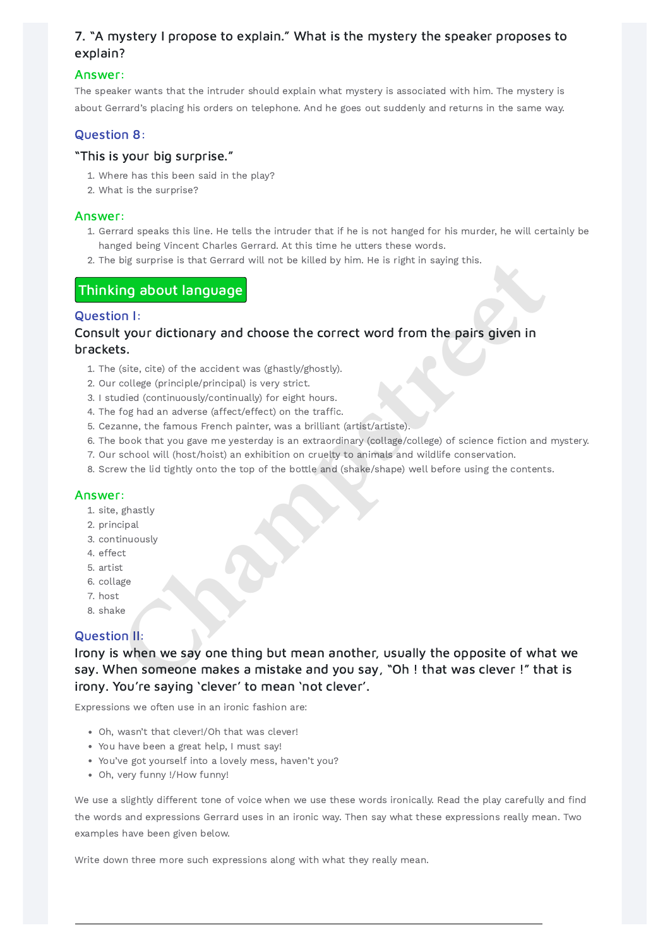# 7. "A mystery I propose to explain." What is the mystery the speaker proposes to explain?

# Answer:

The speaker wants that the intruder should explain what mystery is associated with him. The mystery is about Gerrard's placing his orders on telephone. And he goes out suddenly and returns in the same way.

# Question 8:

# "This is your big surprise."

- 1. Where has this been said in the play?
- 2. What is the surprise?

# Answer:

- 1. Gerrard speaks this line. He tells the intruder that if he is not hanged for his murder, he will certainly be hanged being Vincent Charles Gerrard. At this time he utters these words.
- 2. The big surprise is that Gerrard will not be killed by him. He is right in saying this.

# Thinking about language

# Question I:

Irony is when we say one thing but mean another, usually the opposite of what we say. When someone makes a mistake and you say, "Oh ! that was clever !" that is irony. You're saying 'clever' to mean 'not clever'. big surprise is that Gerrard will not be killed by him. He is right in saying this.<br> **Champs about language**<br> **Champs about language**<br> **Champs about language**<br> **Champs about language**<br> **Champs about definition and choose t** 

# Consult your dictionary and choose the correct word from the pairs given in brackets.

- 1. The (site, cite) of the accident was (ghastly/ghostly).
- 2. Our college (principle/principal) is very strict.
- 3. I studied (continuously/continually) for eight hours.
- . The fog had an adverse (affect/effect) on the traffic.
- . Cezanne, the famous French painter, was a brilliant (artist/artiste).
- . The book that you gave me yesterday is an extraordinary (collage/college) of science fiction and mystery.
- . Our school will (host/hoist) an exhibition on cruelty to animals and wildlife conservation.
- . Screw the lid tightly onto the top of the bottle and (shake/shape) well before using the contents.

# Answer:

- 1. site, ghastly
- 2. principal
- 3. continuously
- . effect
- . artist
- . collage
- 7. host
- . shake

# Question II:

Expressions we often use in an ironic fashion are:

- Oh, wasn't that clever!/Oh that was clever!
- You have been a great help, I must say!
- You've got yourself into a lovely mess, haven't you?
- Oh, very funny !/How funny!

We use a slightly different tone of voice when we use these words ironically. Read the play carefully and find the words and expressions Gerrard uses in an ironic way. Then say what these expressions really mean. Two examples have been given below.

Write down three more such expressions along with what they really mean.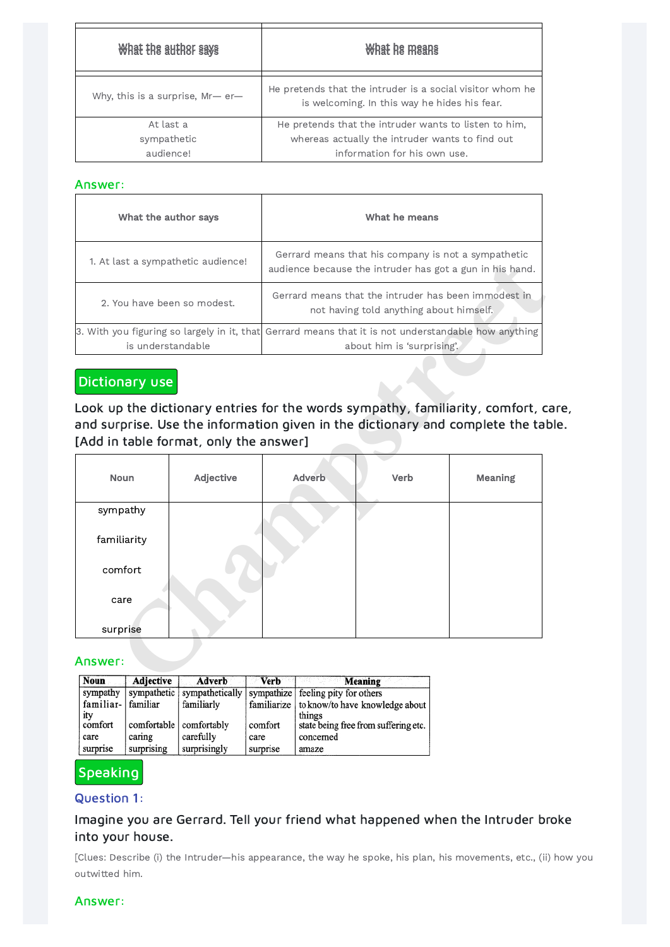| What the author says                 | What he means                                                                                             |  |
|--------------------------------------|-----------------------------------------------------------------------------------------------------------|--|
| Why, this is a surprise, $Mr - er -$ | He pretends that the intruder is a social visitor whom he<br>is welcoming. In this way he hides his fear. |  |
| At last a                            | He pretends that the intruder wants to listen to him,                                                     |  |
| sympathetic                          | whereas actually the intruder wants to find out                                                           |  |
| audience!                            | information for his own use.                                                                              |  |

# Answer:

| What the author says               | What he means                                                                                                   |
|------------------------------------|-----------------------------------------------------------------------------------------------------------------|
| 1. At last a sympathetic audience! | Gerrard means that his company is not a sympathetic<br>audience because the intruder has got a gun in his hand. |
| 2. You have been so modest.        | Gerrard means that the intruder has been immodest in<br>not having told anything about himself.                 |
|                                    | 3. With you figuring so largely in it, that Gerrard means that it is not understandable how anything            |
| is understandable                  | about him is 'surprising'.                                                                                      |

# Dictionary use

Look up the dictionary entries for the words sympathy, familiarity, comfort, care, and surprise. Use the information given in the dictionary and complete the table. [Add in table format, only the answer]

# Answer:

| <b>Noun</b>        | Adjective   | Adverb                  | Verb     | <b>Meaning</b>                              |
|--------------------|-------------|-------------------------|----------|---------------------------------------------|
| sympathy           | sympathetic | sympathetically         |          | sympathize   feeling pity for others        |
| familiar- familiar |             | familiarly              |          | familiarize to know/to have knowledge about |
| ity                |             |                         |          | things                                      |
| comfort            |             | comfortable comfortably | comfort  | state being free from suffering etc.        |
| care               | caring      | carefully               | care     | concerned                                   |
| surprise           | surprising  | surprisingly            | surprise | amaze                                       |



# Question 1:

# Imagine you are Gerrard. Tell your friend what happened when the Intruder broke into your house.

|                             | 1. At last a sympathetic audience!     |                                                                                                                                                                  | audience because the intruder has got a gun in his hand. |                |  |
|-----------------------------|----------------------------------------|------------------------------------------------------------------------------------------------------------------------------------------------------------------|----------------------------------------------------------|----------------|--|
| 2. You have been so modest. |                                        | Gerrard means that the intruder has been immodest in<br>not having told anything about himself.                                                                  |                                                          |                |  |
|                             |                                        | 3. With you figuring so largely in it, that Gerrard means that it is not understandable how anything                                                             |                                                          |                |  |
| is understandable           |                                        | about him is 'surprising'.                                                                                                                                       |                                                          |                |  |
| <b>Dictionary use</b>       | [Add in table format, only the answer] | Look up the dictionary entries for the words sympathy, familiarity, comfort, c<br>and surprise. Use the information given in the dictionary and complete the tal |                                                          |                |  |
|                             |                                        |                                                                                                                                                                  |                                                          |                |  |
| <b>Noun</b>                 | <b>Adjective</b>                       | <b>Adverb</b>                                                                                                                                                    | Verb                                                     | <b>Meaning</b> |  |
| sympathy                    |                                        |                                                                                                                                                                  |                                                          |                |  |
| familiarity                 |                                        |                                                                                                                                                                  |                                                          |                |  |
| comfort                     |                                        |                                                                                                                                                                  |                                                          |                |  |
| care                        |                                        |                                                                                                                                                                  |                                                          |                |  |

[Clues: Describe (i) the Intruder—his appearance, the way he spoke, his plan, his movements, etc., (ii) how you outwitted him.

# Answer: